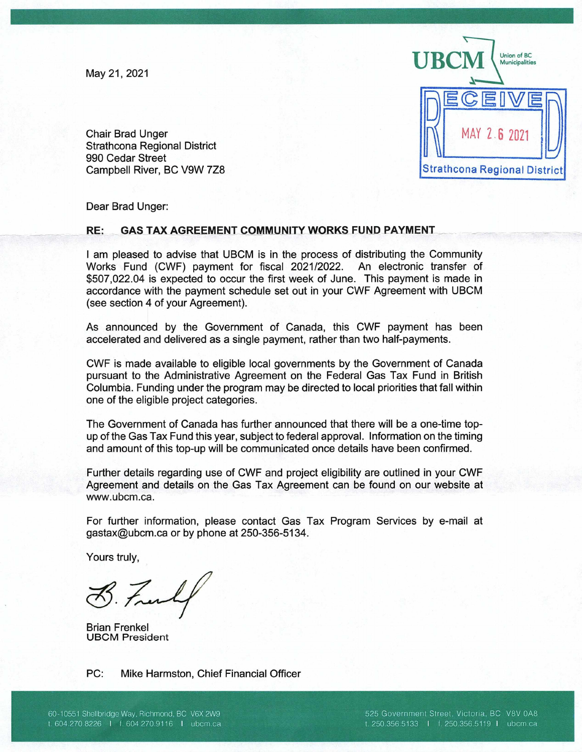May21, 2021



Chair Brad Unger Strathcona Regional District 990 Cedar Street Campbell River, BC V9W 7Z8

Dear Brad Unger:

## **RE: GAS TAX AGREEMENT COMMUNITY WORKS FUND PAYMENT**

I am pleased to advise that UBCM is in the process of distributing the Community Works Fund (CWF) payment for fiscal 2021/2022. An electronic transfer of \$507,022.04 is expected to occur the first week of June. This payment is made in accordance with the payment schedule set out in your CWF Agreement with UBCM (see section 4 of your Agreement).

As announced by the Government of Canada, this CWF payment has been accelerated and delivered as a single payment, rather than two half-payments.

CWF is made available to eligible local governments by the Government of Canada pursuant to the Administrative Agreement on the Federal Gas Tax Fund in British Columbia. Funding under the program may be directed to local priorities that fall within one of the eligible project categories.

The Government of Canada has further announced that there will be a one-time topup of the Gas Tax Fund this year, subject to federal approval. Information on the timing and amount of this top-up will be communicated once details have been confirmed.

Further details regarding use of CWF and project eligibility are outlined in your CWF Agreement and details on the Gas Tax Agreement can be found on our website at www.ubcm.ca.

For further information, please contact Gas Tax Program Services by e-mail at gastax©ubcm.ca or by phone at 250-356-5134.

Yours truly,

B. Free

Brian Frenkel UBCM President

PC: Mike Harmston, Chief Financial Officer